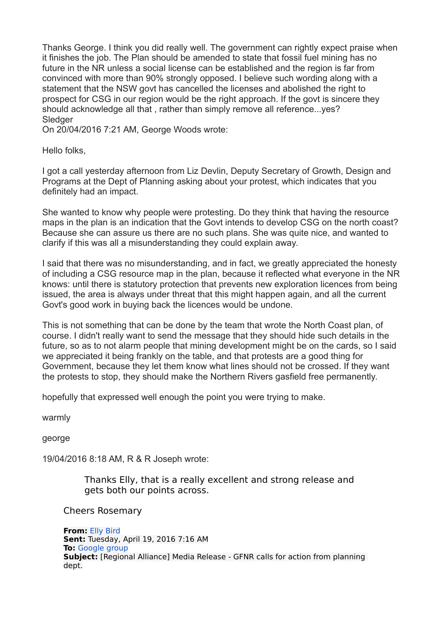Thanks George. I think you did really well. The government can rightly expect praise when it finishes the job. The Plan should be amended to state that fossil fuel mining has no future in the NR unless a social license can be established and the region is far from convinced with more than 90% strongly opposed. I believe such wording along with a statement that the NSW govt has cancelled the licenses and abolished the right to prospect for CSG in our region would be the right approach. If the govt is sincere they should acknowledge all that , rather than simply remove all reference...yes? **Sledger** 

On 20/04/2016 7:21 AM, George Woods wrote:

Hello folks,

I got a call yesterday afternoon from Liz Devlin, Deputy Secretary of Growth, Design and Programs at the Dept of Planning asking about your protest, which indicates that you definitely had an impact.

She wanted to know why people were protesting. Do they think that having the resource maps in the plan is an indication that the Govt intends to develop CSG on the north coast? Because she can assure us there are no such plans. She was quite nice, and wanted to clarify if this was all a misunderstanding they could explain away.

I said that there was no misunderstanding, and in fact, we greatly appreciated the honesty of including a CSG resource map in the plan, because it reflected what everyone in the NR knows: until there is statutory protection that prevents new exploration licences from being issued, the area is always under threat that this might happen again, and all the current Govt's good work in buying back the licences would be undone.

This is not something that can be done by the team that wrote the North Coast plan, of course. I didn't really want to send the message that they should hide such details in the future, so as to not alarm people that mining development might be on the cards, so I said we appreciated it being frankly on the table, and that protests are a good thing for Government, because they let them know what lines should not be crossed. If they want the protests to stop, they should make the Northern Rivers gasfield free permanently.

hopefully that expressed well enough the point you were trying to make.

warmly

george

19/04/2016 8:18 AM, R & R Joseph wrote:

Thanks Elly, that is a really excellent and strong release and gets both our points across.

Cheers Rosemary

**From:** [Elly Bird](mailto:admin@lockthegate.org.au) **Sent:** Tuesday, April 19, 2016 7:16 AM **To:** [Google group](mailto:lock-the-northern-rivers@googlegroups.com) **Subject:** [Regional Alliance] Media Release - GFNR calls for action from planning dept.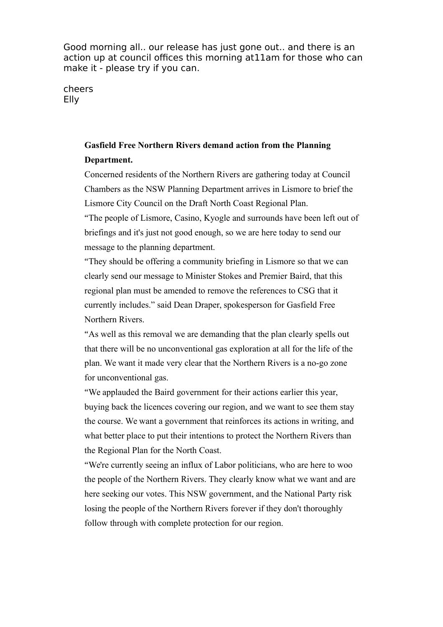Good morning all.. our release has just gone out.. and there is an action up at council offices this morning at11am for those who can make it - please try if you can.

cheers Elly

## **Gasfield Free Northern Rivers demand action from the Planning Department.**

Concerned residents of the Northern Rivers are gathering today at Council Chambers as the NSW Planning Department arrives in Lismore to brief the Lismore City Council on the Draft North Coast Regional Plan.

"The people of Lismore, Casino, Kyogle and surrounds have been left out of briefings and it's just not good enough, so we are here today to send our message to the planning department.

"They should be offering a community briefing in Lismore so that we can clearly send our message to Minister Stokes and Premier Baird, that this regional plan must be amended to remove the references to CSG that it currently includes." said Dean Draper, spokesperson for Gasfield Free Northern Rivers.

"As well as this removal we are demanding that the plan clearly spells out that there will be no unconventional gas exploration at all for the life of the plan. We want it made very clear that the Northern Rivers is a no-go zone for unconventional gas.

"We applauded the Baird government for their actions earlier this year, buying back the licences covering our region, and we want to see them stay the course. We want a government that reinforces its actions in writing, and what better place to put their intentions to protect the Northern Rivers than the Regional Plan for the North Coast.

"We're currently seeing an influx of Labor politicians, who are here to woo the people of the Northern Rivers. They clearly know what we want and are here seeking our votes. This NSW government, and the National Party risk losing the people of the Northern Rivers forever if they don't thoroughly follow through with complete protection for our region.